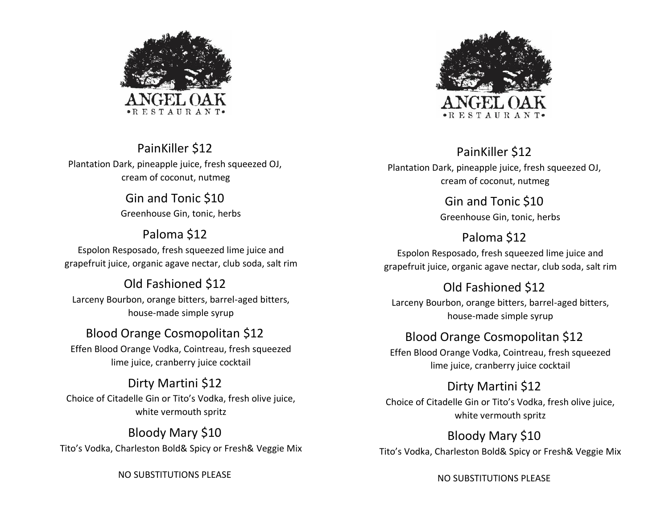

PainKiller \$12 Plantation Dark, pineapple juice, fresh squeezed OJ, cream of coconut, nutmeg

> Gin and Tonic \$10 Greenhouse Gin, tonic, herbs

Paloma \$12 Espolon Resposado, fresh squeezed lime juice and grapefruit juice, organic agave nectar, club soda, salt rim

Old Fashioned \$12 Larceny Bourbon, orange bitters, barrel-aged bitters, house-made simple syrup

Blood Orange Cosmopolitan \$12 Effen Blood Orange Vodka, Cointreau, fresh squeezed lime juice, cranberry juice cocktail

Dirty Martini \$12 Choice of Citadelle Gin or Tito's Vodka, fresh olive juice, white vermouth spritz

Bloody Mary \$10 Tito's Vodka, Charleston Bold& Spicy or Fresh& Veggie Mix

NO SUBSTITUTIONS PLEASE



PainKiller \$12 Plantation Dark, pineapple juice, fresh squeezed OJ, cream of coconut, nutmeg

> Gin and Tonic \$10 Greenhouse Gin, tonic, herbs

Paloma \$12 Espolon Resposado, fresh squeezed lime juice and grapefruit juice, organic agave nectar, club soda, salt rim

Old Fashioned \$12

Larceny Bourbon, orange bitters, barrel-aged bitters, house-made simple syrup

Blood Orange Cosmopolitan \$12

Effen Blood Orange Vodka, Cointreau, fresh squeezed lime juice, cranberry juice cocktail

Dirty Martini \$12 Choice of Citadelle Gin or Tito's Vodka, fresh olive juice, white vermouth spritz

Bloody Mary \$10 Tito's Vodka, Charleston Bold& Spicy or Fresh& Veggie Mix

NO SUBSTITUTIONS PLEASE